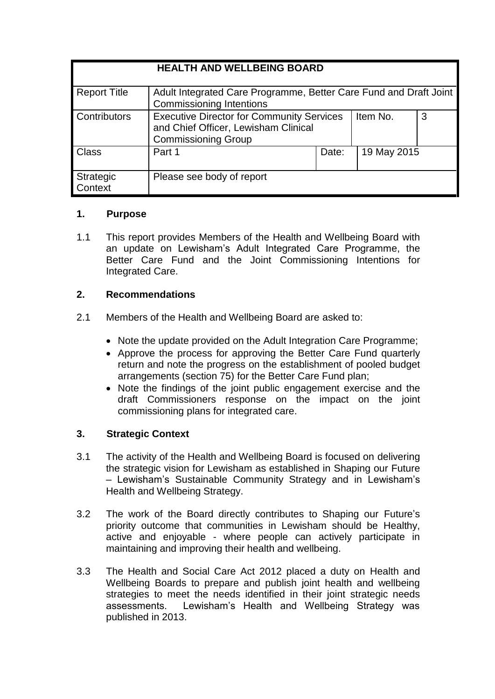| <b>HEALTH AND WELLBEING BOARD</b> |                                                                                                                        |       |             |   |
|-----------------------------------|------------------------------------------------------------------------------------------------------------------------|-------|-------------|---|
| <b>Report Title</b>               | Adult Integrated Care Programme, Better Care Fund and Draft Joint<br><b>Commissioning Intentions</b>                   |       |             |   |
| Contributors                      | <b>Executive Director for Community Services</b><br>and Chief Officer, Lewisham Clinical<br><b>Commissioning Group</b> |       | Item No.    | 3 |
| <b>Class</b>                      | Part 1                                                                                                                 | Date: | 19 May 2015 |   |
| Strategic<br>Context              | Please see body of report                                                                                              |       |             |   |

### **1. Purpose**

1.1 This report provides Members of the Health and Wellbeing Board with an update on Lewisham's Adult Integrated Care Programme, the Better Care Fund and the Joint Commissioning Intentions for Integrated Care.

## **2. Recommendations**

- 2.1 Members of the Health and Wellbeing Board are asked to:
	- Note the update provided on the Adult Integration Care Programme;
	- Approve the process for approving the Better Care Fund quarterly return and note the progress on the establishment of pooled budget arrangements (section 75) for the Better Care Fund plan;
	- Note the findings of the joint public engagement exercise and the draft Commissioners response on the impact on the joint commissioning plans for integrated care.

## **3. Strategic Context**

- 3.1 The activity of the Health and Wellbeing Board is focused on delivering the strategic vision for Lewisham as established in Shaping our Future – Lewisham's Sustainable Community Strategy and in Lewisham's Health and Wellbeing Strategy.
- 3.2 The work of the Board directly contributes to Shaping our Future's priority outcome that communities in Lewisham should be Healthy, active and enjoyable - where people can actively participate in maintaining and improving their health and wellbeing.
- 3.3 The Health and Social Care Act 2012 placed a duty on Health and Wellbeing Boards to prepare and publish joint health and wellbeing strategies to meet the needs identified in their joint strategic needs assessments. Lewisham's Health and Wellbeing Strategy was published in 2013.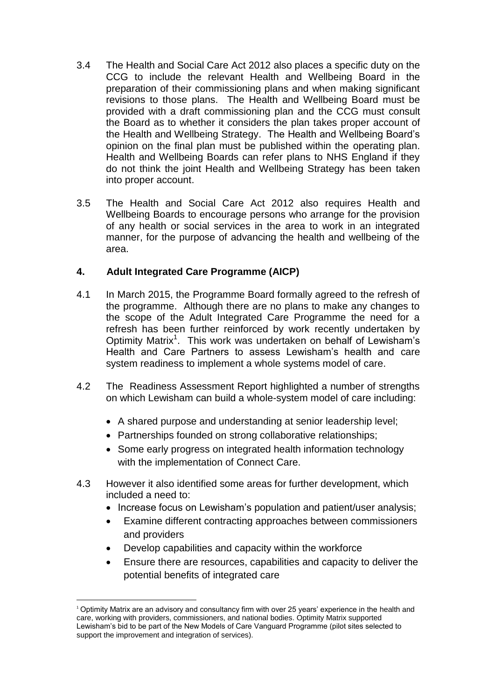- 3.4 The Health and Social Care Act 2012 also places a specific duty on the CCG to include the relevant Health and Wellbeing Board in the preparation of their commissioning plans and when making significant revisions to those plans. The Health and Wellbeing Board must be provided with a draft commissioning plan and the CCG must consult the Board as to whether it considers the plan takes proper account of the Health and Wellbeing Strategy. The Health and Wellbeing Board's opinion on the final plan must be published within the operating plan. Health and Wellbeing Boards can refer plans to NHS England if they do not think the joint Health and Wellbeing Strategy has been taken into proper account.
- 3.5 The Health and Social Care Act 2012 also requires Health and Wellbeing Boards to encourage persons who arrange for the provision of any health or social services in the area to work in an integrated manner, for the purpose of advancing the health and wellbeing of the area.

## **4. Adult Integrated Care Programme (AICP)**

- 4.1 In March 2015, the Programme Board formally agreed to the refresh of the programme. Although there are no plans to make any changes to the scope of the Adult Integrated Care Programme the need for a refresh has been further reinforced by work recently undertaken by Optimity Matrix<sup>1</sup>. This work was undertaken on behalf of Lewisham's Health and Care Partners to assess Lewisham's health and care system readiness to implement a whole systems model of care.
- 4.2 The Readiness Assessment Report highlighted a number of strengths on which Lewisham can build a whole-system model of care including:
	- A shared purpose and understanding at senior leadership level;
	- Partnerships founded on strong collaborative relationships;
	- Some early progress on integrated health information technology with the implementation of Connect Care.
- 4.3 However it also identified some areas for further development, which included a need to:
	- Increase focus on Lewisham's population and patient/user analysis;
	- Examine different contracting approaches between commissioners and providers
	- Develop capabilities and capacity within the workforce

 $\overline{a}$ 

 Ensure there are resources, capabilities and capacity to deliver the potential benefits of integrated care

<sup>1</sup> Optimity Matrix are an advisory and consultancy firm with over 25 years' experience in the health and care, working with providers, commissioners, and national bodies. Optimity Matrix supported Lewisham's bid to be part of the New Models of Care Vanguard Programme (pilot sites selected to support the improvement and integration of services).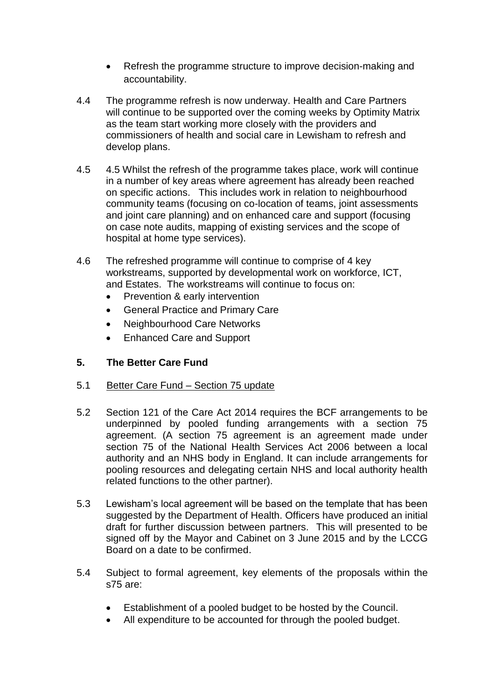- Refresh the programme structure to improve decision-making and accountability.
- 4.4 The programme refresh is now underway. Health and Care Partners will continue to be supported over the coming weeks by Optimity Matrix as the team start working more closely with the providers and commissioners of health and social care in Lewisham to refresh and develop plans.
- 4.5 4.5 Whilst the refresh of the programme takes place, work will continue in a number of key areas where agreement has already been reached on specific actions. This includes work in relation to neighbourhood community teams (focusing on co-location of teams, joint assessments and joint care planning) and on enhanced care and support (focusing on case note audits, mapping of existing services and the scope of hospital at home type services).
- 4.6 The refreshed programme will continue to comprise of 4 key workstreams, supported by developmental work on workforce, ICT, and Estates. The workstreams will continue to focus on:
	- Prevention & early intervention
	- General Practice and Primary Care
	- Neighbourhood Care Networks
	- Enhanced Care and Support

#### **5. The Better Care Fund**

- 5.1 Better Care Fund Section 75 update
- 5.2 Section 121 of the Care Act 2014 requires the BCF arrangements to be underpinned by pooled funding arrangements with a section 75 agreement. (A section 75 agreement is an agreement made under section 75 of the National Health Services Act 2006 between a local authority and an NHS body in England. It can include arrangements for pooling resources and delegating certain NHS and local authority health related functions to the other partner).
- 5.3 Lewisham's local agreement will be based on the template that has been suggested by the Department of Health. Officers have produced an initial draft for further discussion between partners. This will presented to be signed off by the Mayor and Cabinet on 3 June 2015 and by the LCCG Board on a date to be confirmed.
- 5.4 Subject to formal agreement, key elements of the proposals within the s75 are:
	- Establishment of a pooled budget to be hosted by the Council.
	- All expenditure to be accounted for through the pooled budget.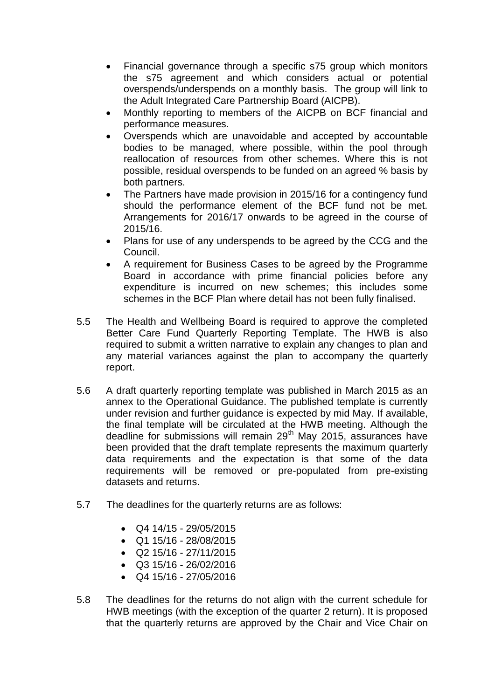- Financial governance through a specific s75 group which monitors the s75 agreement and which considers actual or potential overspends/underspends on a monthly basis. The group will link to the Adult Integrated Care Partnership Board (AICPB).
- Monthly reporting to members of the AICPB on BCF financial and performance measures.
- Overspends which are unavoidable and accepted by accountable bodies to be managed, where possible, within the pool through reallocation of resources from other schemes. Where this is not possible, residual overspends to be funded on an agreed % basis by both partners.
- The Partners have made provision in 2015/16 for a contingency fund should the performance element of the BCF fund not be met. Arrangements for 2016/17 onwards to be agreed in the course of 2015/16.
- Plans for use of any underspends to be agreed by the CCG and the Council.
- A requirement for Business Cases to be agreed by the Programme Board in accordance with prime financial policies before any expenditure is incurred on new schemes; this includes some schemes in the BCF Plan where detail has not been fully finalised.
- 5.5 The Health and Wellbeing Board is required to approve the completed Better Care Fund Quarterly Reporting Template. The HWB is also required to submit a written narrative to explain any changes to plan and any material variances against the plan to accompany the quarterly report.
- 5.6 A draft quarterly reporting template was published in March 2015 as an annex to the Operational Guidance. The published template is currently under revision and further guidance is expected by mid May. If available, the final template will be circulated at the HWB meeting. Although the deadline for submissions will remain 29<sup>th</sup> May 2015, assurances have been provided that the draft template represents the maximum quarterly data requirements and the expectation is that some of the data requirements will be removed or pre-populated from pre-existing datasets and returns.
- 5.7 The deadlines for the quarterly returns are as follows:
	- Q4 14/15 29/05/2015
	- Q1 15/16 28/08/2015
	- $\bullet$  Q2 15/16 27/11/2015
	- Q3 15/16 26/02/2016
	- Q4 15/16 27/05/2016
- 5.8 The deadlines for the returns do not align with the current schedule for HWB meetings (with the exception of the quarter 2 return). It is proposed that the quarterly returns are approved by the Chair and Vice Chair on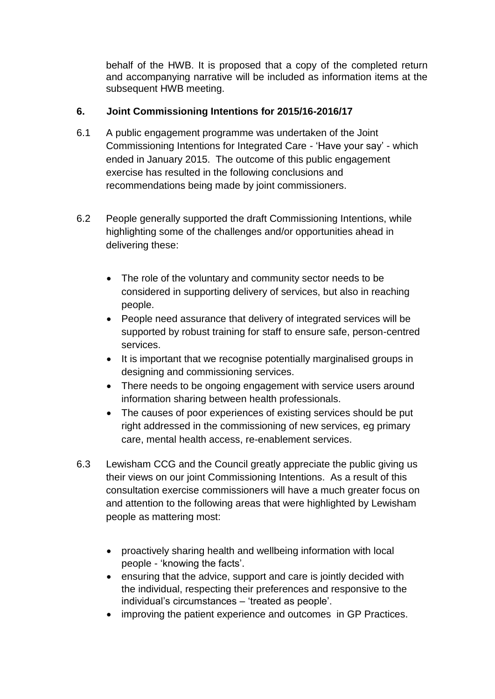behalf of the HWB. It is proposed that a copy of the completed return and accompanying narrative will be included as information items at the subsequent HWB meeting.

# **6. Joint Commissioning Intentions for 2015/16-2016/17**

- 6.1 A public engagement programme was undertaken of the Joint Commissioning Intentions for Integrated Care - 'Have your say' - which ended in January 2015. The outcome of this public engagement exercise has resulted in the following conclusions and recommendations being made by joint commissioners.
- 6.2 People generally supported the draft Commissioning Intentions, while highlighting some of the challenges and/or opportunities ahead in delivering these:
	- The role of the voluntary and community sector needs to be considered in supporting delivery of services, but also in reaching people.
	- People need assurance that delivery of integrated services will be supported by robust training for staff to ensure safe, person-centred services.
	- It is important that we recognise potentially marginalised groups in designing and commissioning services.
	- There needs to be ongoing engagement with service users around information sharing between health professionals.
	- The causes of poor experiences of existing services should be put right addressed in the commissioning of new services, eg primary care, mental health access, re-enablement services.
- 6.3 Lewisham CCG and the Council greatly appreciate the public giving us their views on our joint Commissioning Intentions. As a result of this consultation exercise commissioners will have a much greater focus on and attention to the following areas that were highlighted by Lewisham people as mattering most:
	- proactively sharing health and wellbeing information with local people - 'knowing the facts'.
	- ensuring that the advice, support and care is jointly decided with the individual, respecting their preferences and responsive to the individual's circumstances – 'treated as people'.
	- improving the patient experience and outcomes in GP Practices.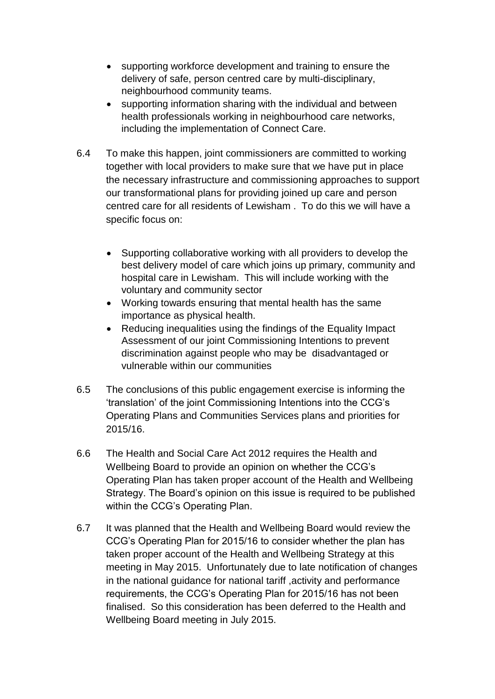- supporting workforce development and training to ensure the delivery of safe, person centred care by multi-disciplinary, neighbourhood community teams.
- supporting information sharing with the individual and between health professionals working in neighbourhood care networks, including the implementation of Connect Care.
- 6.4 To make this happen, joint commissioners are committed to working together with local providers to make sure that we have put in place the necessary infrastructure and commissioning approaches to support our transformational plans for providing joined up care and person centred care for all residents of Lewisham . To do this we will have a specific focus on:
	- Supporting collaborative working with all providers to develop the best delivery model of care which joins up primary, community and hospital care in Lewisham. This will include working with the voluntary and community sector
	- Working towards ensuring that mental health has the same importance as physical health.
	- Reducing inequalities using the findings of the Equality Impact Assessment of our joint Commissioning Intentions to prevent discrimination against people who may be disadvantaged or vulnerable within our communities
- 6.5 The conclusions of this public engagement exercise is informing the 'translation' of the joint Commissioning Intentions into the CCG's Operating Plans and Communities Services plans and priorities for 2015/16.
- 6.6 The Health and Social Care Act 2012 requires the Health and Wellbeing Board to provide an opinion on whether the CCG's Operating Plan has taken proper account of the Health and Wellbeing Strategy. The Board's opinion on this issue is required to be published within the CCG's Operating Plan.
- 6.7 It was planned that the Health and Wellbeing Board would review the CCG's Operating Plan for 2015/16 to consider whether the plan has taken proper account of the Health and Wellbeing Strategy at this meeting in May 2015. Unfortunately due to late notification of changes in the national guidance for national tariff ,activity and performance requirements, the CCG's Operating Plan for 2015/16 has not been finalised. So this consideration has been deferred to the Health and Wellbeing Board meeting in July 2015.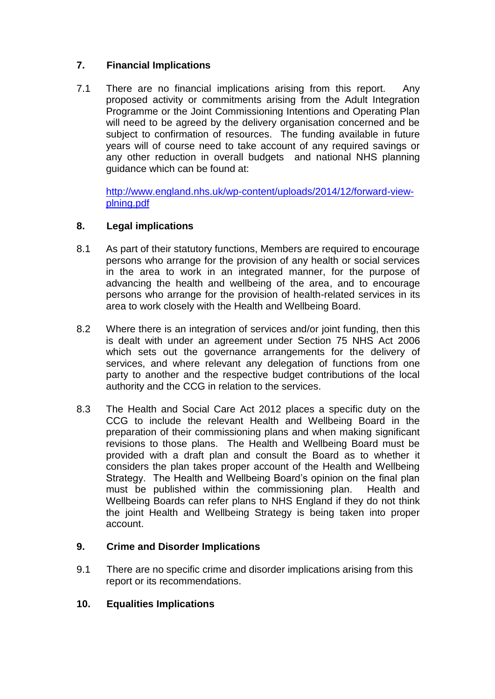## **7. Financial Implications**

7.1 There are no financial implications arising from this report. Any proposed activity or commitments arising from the Adult Integration Programme or the Joint Commissioning Intentions and Operating Plan will need to be agreed by the delivery organisation concerned and be subject to confirmation of resources. The funding available in future years will of course need to take account of any required savings or any other reduction in overall budgets and national NHS planning guidance which can be found at:

[http://www.england.nhs.uk/wp-content/uploads/2014/12/forward-view](http://www.england.nhs.uk/wp-content/uploads/2014/12/forward-view-plning.pdf)[plning.pdf](http://www.england.nhs.uk/wp-content/uploads/2014/12/forward-view-plning.pdf)

### **8. Legal implications**

- 8.1 As part of their statutory functions, Members are required to encourage persons who arrange for the provision of any health or social services in the area to work in an integrated manner, for the purpose of advancing the health and wellbeing of the area, and to encourage persons who arrange for the provision of health-related services in its area to work closely with the Health and Wellbeing Board.
- 8.2 Where there is an integration of services and/or joint funding, then this is dealt with under an agreement under Section 75 NHS Act 2006 which sets out the governance arrangements for the delivery of services, and where relevant any delegation of functions from one party to another and the respective budget contributions of the local authority and the CCG in relation to the services.
- 8.3 The Health and Social Care Act 2012 places a specific duty on the CCG to include the relevant Health and Wellbeing Board in the preparation of their commissioning plans and when making significant revisions to those plans. The Health and Wellbeing Board must be provided with a draft plan and consult the Board as to whether it considers the plan takes proper account of the Health and Wellbeing Strategy. The Health and Wellbeing Board's opinion on the final plan must be published within the commissioning plan. Health and Wellbeing Boards can refer plans to NHS England if they do not think the joint Health and Wellbeing Strategy is being taken into proper account.

#### **9. Crime and Disorder Implications**

9.1 There are no specific crime and disorder implications arising from this report or its recommendations.

#### **10. Equalities Implications**